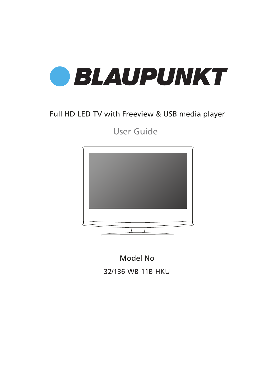

## Full HD LED TV with Freeview & USB media player

User Guide



Model No

32/136-WB-11B-HKU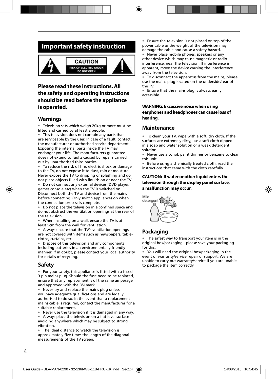## **Important safety instruction**



### **Please read these instructions. All the safety and operating instructions should be read before the appliance is operated.**

### **Warnings**

• Television sets which weigh 20kg or more must be lifted and carried by at least 2 people.

• This television does not contain any parts that are serviceable by the user. In case of a fault, contact the manufacturer or authorised service department. Exposing the internal parts inside the TV may endanger your life. The manufacturers guarantee does not extend to faults caused by repairs carried out by unauthorised third parties.

To reduce the risk of fire, electric shock or damage to the TV, do not expose it to dust, rain or moisture. Never expose the TV to dripping or splashing and do not place objects filled with liquids on or near the TV.

• Do not connect any external devices (DVD player, games console etc) when the TV is switched on. Disconnect both the TV and device from the mains before connecting. Only switch appliances on when the connection process is complete.

• Do not place the television in a confined space and do not obstruct the ventilation openings at the rear of the television.

• When installing on a wall, ensure the TV is at least 5cm from the wall for ventilation.

• Always ensure that the TV's ventilation openings are not covered with items such as newspapers, tablecloths, curtains, etc.

• Dispose of this television and any components including batteries in an environmentally friendly manner. If in doubt, please contact your local authority for details of recycling.

### **Safety**

• For your safety, this appliance is fitted with a fused 3 pin mains plug. Should the fuse need to be replaced, ensure that any replacement is of the same amperage and approved with the BSI mark.

• Never try and replace the mains plug unless you have adequate qualifications and are legally authorised to do so. In the event that a replacement mains cable is required, contact the manufacturer for a suitable replacement.

• Never use the television if it is damaged in any way.

• Always place the television on a flat level surface avoiding anywhere which may be subject to strong vibration.

• The ideal distance to watch the television is approximately five times the length of the diagonal measurements of the TV screen.

• Ensure the television is not placed on top of the power cable as the weight of the television may damage the cable and cause a safety hazard.

• Never place mobile phones, speakers or any other device which may cause magnetic or radio interference, near the television. If interference is apparent, move the device causing the interference away from the television.

To disconnect the apparatus from the mains, please use the mains plug located on the underside/rear of the TV.

• Ensure that the mains plug is always easily accessible.

#### **WARNING: Excessive noise when using earphones and headphones can cause loss of hearing.**

### **Maintenance**

• To clean your TV, wipe with a soft, dry cloth. If the surfaces are extremely dirty, use a soft cloth dipped in a soap and water solution or a weak detergent solution.

• Never use alcohol, paint thinner or benzene to clean this unit.

• Before using a chemically treated cloth, read the instructions that came with the cloth carefully.

#### **CAUTION: If water or other liquid enters the television through the display panel surface, a malfunction may occur.**



### **Packaging**

The safest way to transport your item is in the original box/packaging - please save your packaging for this.

• You will need the original box/packaging in the event of warranty/service repair or support. We are unable to carry out warranty/service if you are unable to package the item correctly.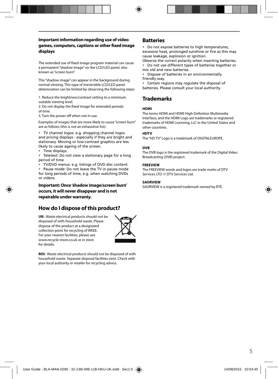#### **Important information regarding use of video**  games, computers, captions or other fixed image **displays**

The extended use of fixed image program material can cause a permanent "shadow image" on the LCD/LED panel, also known as "screen burn".

This "shadow image" can appear in the background during normal viewing. This type of irreversible LCD/LED panel deterioration can be limited by observing the following steps:

1. Reduce the brightness/contrast setting to a minimum suitable viewing level.

2. Do not display the fixed image for extended periods of time.

3. Turn the power off when not in use.

Examples of images that are more likely to cause "screen burn" are as follows (this is not an exhaustive list):

• TV channel logos: e.g. shopping channel logos and pricing displays - especially if they are bright and stationary. Moving or low-contrast graphics are less likely to cause ageing of the screen.

• Time displays.

• Teletext: Do not view a stationary page for a long period of time

• TV/DVD menus: e.g. listings of DVD disc content.

Pause mode: Do not leave the TV in pause mode for long periods of time, e.g. when watching DVDs or videos.

#### **Important: Once 'shadow image/screen burn' occurs, it will never disappear and is not repairable under warranty.**

### **How do I dispose of this product?**

**UK:** Waste electrical products should not be disposed of with household waste. Please dispose of the product at a designated collection point for recycling of WEEE. For your nearest facilities, please see www.recycle-more.co.uk or in store for details.



**ROI:** Waste electrical products should not be disposed of with household waste. Separate disposal facilities exist. Check with your local authority or retailer for recycling advice.

### **Batteries**

• Do not expose batteries to high temperatures, excessive heat, prolonged sunshine or fire as this may cause leakage, explosion or ignition.

Observe the correct polarity when inserting batteries. • Do not use different types of batteries together or mix old and new batteries.

• Dispose of batteries in an environmentally friendly way.

• Certain regions may regulate the disposal of batteries. Please consult your local authority.

### **Trademarks**

#### **HDMI**

The terms HDMI and HDMI High-Definition Multimedia Interface, and the HDMI Logo are trademarks or registered trademarks of HDMI Licensing, LLC in the United States and other countries.

#### **HDTV**

The "HD TV" Logo is a trademark of DIGITALEUROPE.

#### **DVB**

The DVB logo is the registered trademark of the Digital Video Broadcasting (DVB) project.

#### **FREEVIEW**

The FREEVIEW words and logos are trade marks of DTV Services LTD. © DTV Services Ltd.

#### **SAORVIEW**

SAORVIEW is a registered trademark owned by RTÉ.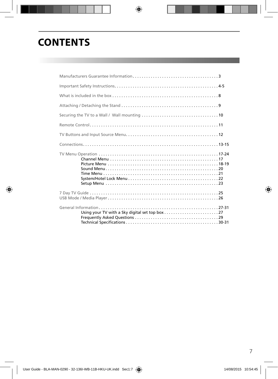## **CONTENTS**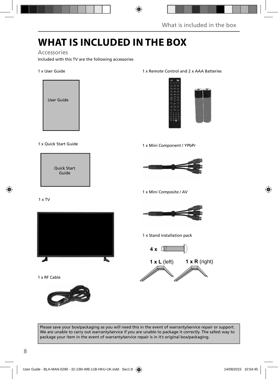## **WHAT IS INCLUDED IN THE BOX**

Accessories

Included with this TV are the following accessories

### 1 x User Guide



### 1 x Quick Start Guide



#### 1 x Remote Control and 2 x AAA Batteries



#### 1 x Mini Component / YPbPr



1 x Mini Composite / AV

1 x TV



1 x RF Cable





1 x Stand installation pack





Please save your box/packaging as you will need this in the event of warranty/service repair or support. We are unable to carry out warranty/service if you are unable to package it correctly. The safest way to package your item in the event of warranty/service repair is in it's original box/packaging.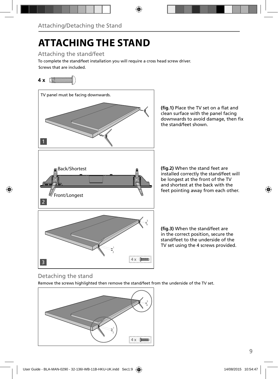# **ATTACHING THE STAND**

Attaching the stand/feet

Screws that are included. To complete the stand/feet installation you will require a cross head screw driver.

## **4 x**



### Detaching the stand

Remove the screws highlighted then remove the stand/feet from the underside of the TV set.

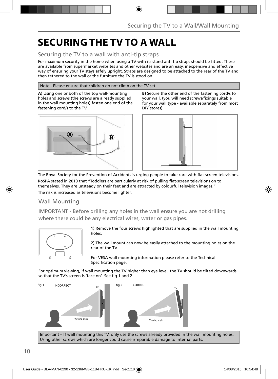## **SECURING THE TV TO A WALL**

### Securing the TV to a wall with anti-tip straps

For maximum security in the home when using a TV with its stand anti-tip straps should be fitted. These are available from supermarket websites and other websites and are an easy, inexpensive and effective way of ensuring your TV stays safely upright. Straps are designed to be attached to the rear of the TV and then tethered to the wall or the furniture the TV is stood on.

#### Note - Please ensure that children do not climb on the TV set.

**A)** Using one or both of the top wall-mounting holes and screws (the screws are already supplied in the wall mounting holes) fasten one end of the fastening cord/s to the TV.



**B)** Secure the other end of the fastening cord/s to your wall. (you will need screws/fixings suitable for your wall type - available separately from most DIY stores).



The Royal Society for the Prevention of Accidents is urging people to take care with flat-screen televisions. RoSPA stated in 2010 that "Toddlers are particularly at risk of pulling flat-screen televisions on to themselves. They are unsteady on their feet and are attracted by colourful television images." The risk is increased as televisions become lighter.

### Wall Mounting

IMPORTANT - Before drilling any holes in the wall ensure you are not drilling where there could be any electrical wires, water or gas pipes.



1) Remove the four screws highlighted that are supplied in the wall mounting holes.

2) The wall mount can now be easily attached to the mounting holes on the rear of the TV.

For VESA wall mounting information please refer to the Technical Specification page.

For optimum viewing, if wall mounting the TV higher than eye level, the TV should be tilted downwards so that the TV's screen is 'face on'. See fig 1 and 2.



Important – If wall mounting this TV, only use the screws already provided in the wall mounting holes. Using other screws which are longer could cause irreparable damage to internal parts.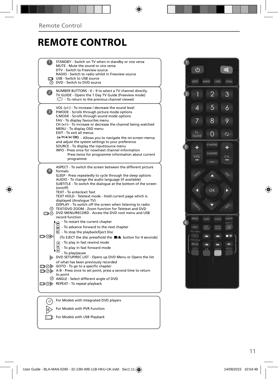## **REMOTE CONTROL**

|                   | STANDBY - Switch on TV when in standby or vice versa<br>MUTE - Mute the sound or vice versa<br>DTV - Switch to Freeview source<br>RADIO - Switch to radio whilst in Freeview source<br>USB - Switch to USB source                                                                                                                                                                                                                                                                                                                                                                                                                                                        |  |
|-------------------|--------------------------------------------------------------------------------------------------------------------------------------------------------------------------------------------------------------------------------------------------------------------------------------------------------------------------------------------------------------------------------------------------------------------------------------------------------------------------------------------------------------------------------------------------------------------------------------------------------------------------------------------------------------------------|--|
|                   | <b>O</b> DVD - Switch to DVD source                                                                                                                                                                                                                                                                                                                                                                                                                                                                                                                                                                                                                                      |  |
| $\overline{2}$    | NUMBER BUTTONS - 0 - 9 to select a TV channel directly.<br>TV GUIDE - Opens the 7 Day TV Guide (Freeview mode)<br>$\mathbb{C}$ - To return to the previous channel viewed                                                                                                                                                                                                                                                                                                                                                                                                                                                                                                |  |
| 3                 | VOL (+/-) - To increase / decrease the sound level<br>P.MODE - Scrolls through picture mode options<br>S.MODE - Scrolls through sound mode options<br>FAV - To display favourites menu<br>$CH (+/-)$ - To increase or decrease the channel being watched<br>MENU - To display OSD menu<br>EXIT - To exit all menus<br>(A/V/4/M/OK) - Allows you to navigate the on-screen menus<br>and adjust the system settings to your preference<br>SOURCE - To display the input/source menu<br>INFO - Press once for now/next channel information<br>Press twice for programme information about current<br>programme                                                              |  |
| $\vert 4 \rangle$ | ASPECT - To switch the screen between the different picture<br>formats<br>SLEEP - Press repeatedly to cycle through the sleep options<br>AUDIO - To change the audio language (if available)<br>SUBTITLE - To switch the dialogue at the bottom of the screen<br>(on/off)<br>TEXT - To enter/exit Text<br>TEXT HOLD - Teletext mode - Hold current page which is<br>displayed (Analoque TV)<br>DISPLAY - To switch off the screen when listening to radio<br>TEXT/DVD ZOOM - Zoom function for Teletext and DVD<br>DVD MENU/RECORD - Access the DVD root menu and USB<br>record function                                                                                 |  |
| య⊙⊡               | - To restart the current chapter<br>ଛ<br>- To advance forward to the next chapter<br>$\boldsymbol{\widehat{\mathsf{m}}}$<br>$\odot$ - To stop the playback/Eject Disc<br>(To EJECT the disc press/hold the ■/▲ button for 4 seconds)<br>$\left( \overline{\mathbf{H}}\right)$ - To play in fast rewind mode<br>- To play in fast forward mode<br>- To play/pause<br>DVD SETUP/REC LIST - Opens up DVD Menu or Opens the list<br>of what has been previously recorded<br>□ ⊙ GOTO - To go to a specific chapter<br>A-B - Press once to set point, press a second time to return<br>to point<br>© ANGLE - Select different angle of DVD<br>□ ⑦ NEPEAT - To repeat playback |  |
|                   | For Models with Integrated DVD players                                                                                                                                                                                                                                                                                                                                                                                                                                                                                                                                                                                                                                   |  |
| 0                 |                                                                                                                                                                                                                                                                                                                                                                                                                                                                                                                                                                                                                                                                          |  |

 $\sqrt{\mathbf{I}}$  For Models with PVR Function

For Models with USB Playback

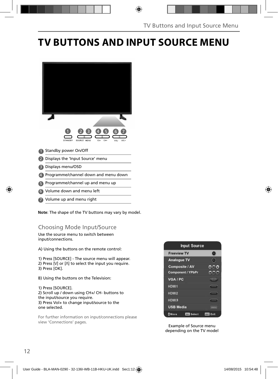## **TV BUTTONS AND INPUT SOURCE MENU**

| ă<br>CH+<br>CH-<br><b>STANDBY</b><br>SOURCE MENU<br>VOL-<br>VOL+ |
|------------------------------------------------------------------|
| Standby power On/Off                                             |
| Displays the 'Input Source' menu                                 |
| Displays menu/OSD                                                |
| Programme/channel down and menu down                             |
|                                                                  |

- **5** Programme/channel up and menu up
- Volume down and menu left 6
- Volume up and menu right 7

**Note**: The shape of the TV buttons may vary by model.

### Choosing Mode Input/Source

Use the source menu to switch between input/connections.

A) Using the buttons on the remote control:

1) Press [SOURCE] - The source menu will appear. 2) Press M or M to select the input you require. 3) Press [OK].

- B) Using the buttons on the Television:
- 1) Press [SOURCE].

2) Scroll up / down using CH+/ CH- buttons to the input/source you require. 3) Press Vol+ to change input/source to the one selected.

For further information on input/connections please view 'Connections' pages.

| <b>Input Source</b>          |              |
|------------------------------|--------------|
| <b>Freeview TV</b>           |              |
| <b>Analogue TV</b>           | $\sigma$     |
| <b>Composite / AV</b>        |              |
| <b>Component / YPbPr</b>     |              |
| VGA / PC                     | 0.53376      |
| HDMI1                        |              |
| HDMI2                        |              |
| HDMI3                        |              |
| <b>USB Media</b>             | <b>FERRY</b> |
| Select<br>OK<br><b>CMove</b> | Exit<br>cot  |

Example of Source menu depending on the TV model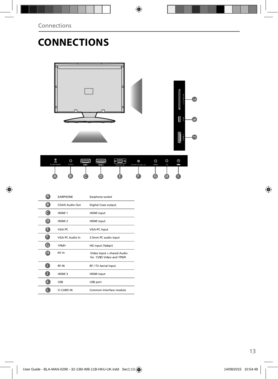# **CONNECTIONS**



| ٥<br>Ā<br><b>EARPHONE</b> | O<br>COAX | HDMI <sub>1</sub> | HDM <sub>2</sub> | tam) e<br>ø<br>VGA/PC IN | O<br>VGA/PC(Audio in) | O<br>YPbPr | $\circ$<br>AV | ⊚<br>E BIN |  |
|---------------------------|-----------|-------------------|------------------|--------------------------|-----------------------|------------|---------------|------------|--|
| ∸                         |           |                   |                  |                          |                       |            | ⋍             |            |  |

|   | <b><i>EARPHONE</i></b> | Earphone socket                                        |
|---|------------------------|--------------------------------------------------------|
| B | COAX Audio Out         | Digital Coax output                                    |
|   | HDMI <sub>1</sub>      | <b>HDMI</b> input                                      |
|   | HDMI <sub>2</sub>      | <b>HDMI</b> input                                      |
| E | VGA PC                 | <b>VGA-PC</b> input                                    |
|   | VGA PC Audio In        | 3.5mm PC audio input                                   |
| G | YPbPr                  | HD input (Ypbpr)                                       |
| H | AV In                  | Video Input + shared Audio<br>for CVBS Video and YPbPr |
|   | <b>RFIN</b>            | RF / TV Aerial Input                                   |
|   | HDMI <sub>3</sub>      | <b>HDMI</b> input                                      |
|   | <b>USB</b>             | USB port                                               |
|   | CI CARD IN             | Common Interface module                                |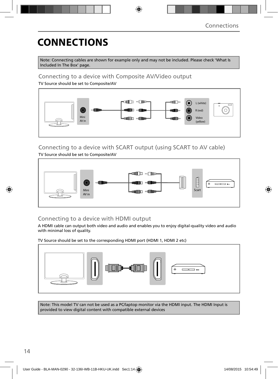# **CONNECTIONS**

Note: Connecting cables are shown for example only and may not be included. Please check 'What Is Included In The Box' page.

### Connecting to a device with Composite AV/Video output

TV Source should be set to Composite/AV



## Connecting to a device with SCART output (using SCART to AV cable)

TV Source should be set to Composite/AV



### Connecting to a device with HDMI output

A HDMI cable can output both video and audio and enables you to enjoy digital-quality video and audio with minimal loss of quality.

TV Source should be set to the corresponding HDMI port (HDMI 1, HDMI 2 etc)



Note: This model TV can not be used as a PC/laptop monitor via the HDMI input. The HDMI Input is provided to view digital content with compatible external devices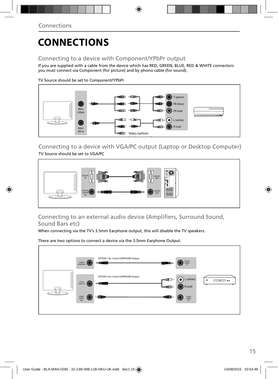# **CONNECTIONS**

### Connecting to a device with Component/YPbPr output

If you are supplied with a cable from the device which has RED, GREEN, BLUE, RED & WHITE connectors you must connect via Component (for picture) and by phono cable (for sound).

TV Source should be set to Component/YPbPr



Connecting to a device with VGA/PC output (Laptop or Desktop Computer) TV Source should be set to VGA/PC



### Connecting to an external audio device (Amplifiers, Surround Sound, Sound Bars etc)

When connecting via the TV's 3.5mm Earphone output, this will disable the TV speakers.

There are two options to connect a device via the 3.5mm Earphone Output.

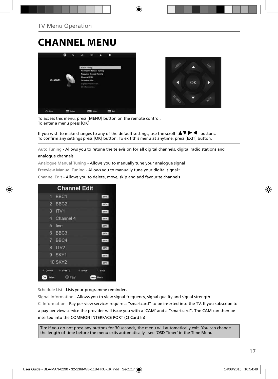# **CHANNEL MENU**





To access this menu, press [MENU] button on the remote control. To enter a menu press [OK]

If you wish to make changes to any of the default settings, use the scroll  $\blacktriangle \blacktriangledown \blacktriangleright \blacktriangleleft$  buttons. To confirm any settings press [OK] button. To exit this menu at anytime, press [EXIT] button.

Auto Tuning - Allows you to retune the television for all digital channels, digital radio stations and

#### analogue channels

Analogue Manual Tuning - Allows you to manually tune your analogue signal

Freeview Manual Tuning - Allows you to manually tune your digital signal\*

Channel Edit - Allows you to delete, move, skip and add favourite channels

| <b>Channel Edit</b>                   |              |
|---------------------------------------|--------------|
| BBC <sub>1</sub><br>61                | onv          |
| BBC <sub>2</sub><br>2                 | otv          |
| з<br>IV1                              | otv          |
| Channel 4<br>4                        | otv          |
| 5<br>five                             | otv          |
| BBC <sub>3</sub><br>6                 | DIV          |
| 7 BBC4                                | onv          |
| ITV <sub>2</sub><br>R                 | onv          |
| SKY1<br>g                             | orv          |
| <b>10 SKY2</b>                        | otv          |
| Delete<br><sup>#</sup> FreeTV<br>Move | Skip         |
| $\leftrightarrow$ Fav<br>OK<br>Select | Menu<br>Back |

Schedule List - Lists your programme reminders

Signal Information - Allows you to view signal frequency, signal quality and signal strength CI Information - Pay per view services require a "smartcard" to be inserted into the TV. If you subscribe to a pay per view service the provider will issue you with a 'CAM' and a "smartcard". The CAM can then be inserted into the COMMON INTERFACE PORT (CI Card In)

Tip: If you do not press any buttons for 30 seconds, the menu will automatically exit. You can change the length of time before the menu exits automatically - see 'OSD Timer' in the Time Menu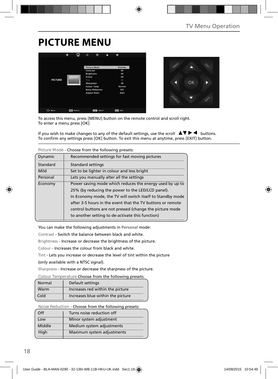## **PICTURE MENU**





To access this menu, press [MENU] button on the remote control and scroll right. To enter a menu press [OK]

If you wish to make changes to any of the default settings, use the scroll  $\Box \blacktriangledown \blacktriangleright \blacktriangleleft$  buttons. To confirm any settings press [OK] button. To exit this menu at anytime, press [EXIT] button.

| TIGUIE MOUE - CHOOSE HOIH UIE TOITOWING DI ESELS. |                                                            |  |  |
|---------------------------------------------------|------------------------------------------------------------|--|--|
| Dynamic                                           | Recommended settings for fast moving pictures              |  |  |
| Standard                                          | <b>Standard settings</b>                                   |  |  |
| Mild                                              | Set to be lighter in colour and less bright                |  |  |
| Personal                                          | Lets you manually alter all the settings                   |  |  |
| Economy                                           | Power saving mode which reduces the energy used by up to   |  |  |
|                                                   | 25% (by reducing the power to the LED/LCD panel).          |  |  |
|                                                   | In Economy mode, the TV will switch itself to Standby mode |  |  |
|                                                   | after 3-5 hours in the event that the TV buttons or remote |  |  |
|                                                   | control buttons are not pressed (change the picture mode   |  |  |
|                                                   | to another setting to de-activate this function)           |  |  |

**Picture Mode** - Choose from the following presets:

You can make the following adjustments in **Personal** mode:

Contrast - Switch the balance between black and white.

Brightness - Increase or decrease the brightness of the picture.

Colour - Increases the colour from black and white.

Tint - Lets you increase or decrease the level of tint within the picture

(only available with a NTSC signal).

Sharpness - Increase or decrease the sharpness of the picture.

**Colour Temperature** Choose from the following presets:

| Normal | Default settings                  |
|--------|-----------------------------------|
| Warm   | Increases red within the picture  |
| Cold   | Increases blue within the picture |

**Noise Reduction** - Choose from the following presets:

| Off    | Turns noise reduction off  |
|--------|----------------------------|
| Low    | Minor system adjustment    |
| Middle | Medium system adjustments  |
| High   | Maximum system adjustments |
|        |                            |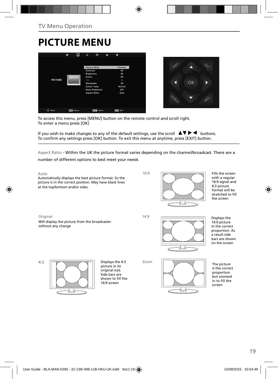## **PICTURE MENU**





To access this menu, press [MENU] button on the remote control and scroll right. To enter a menu press [OK]

If you wish to make changes to any of the default settings, use the scroll  $\Delta \nabla \blacktriangleright$   $\blacktriangleleft$  buttons. To confirm any settings press [OK] button. To exit this menu at anytime, press [EXIT] button.

Aspect Ratio - Within the UK the picture format varies depending on the channel/broadcast. There are a

number of different options to best meet your needs

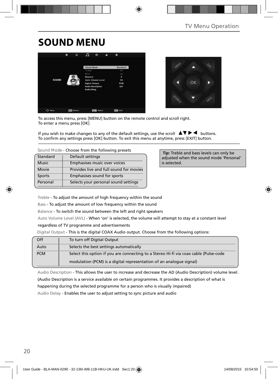## **SOUND MENU**





To access this menu, press [MENU] button on the remote control and scroll right. To enter a menu press [OK]

If you wish to make changes to any of the default settings, use the scroll  $\Box \blacktriangledown \blacktriangleright \blacktriangleleft$  buttons. To confirm any settings press [OK] button. To exit this menu at anytime, press [EXIT] button.

| Sound Mode - Choose from the following presets |                                         |  |
|------------------------------------------------|-----------------------------------------|--|
| Standard                                       | Default settings                        |  |
| <b>Music</b>                                   | Emphasises music over voices            |  |
| Movie                                          | Provides live and full sound for movies |  |
| Sports                                         | Emphasises sound for sports             |  |

Personal Selects your personal sound settings

 **Tip:** Treble and bass levels can only be adjusted when the sound mode 'Personal' is selected.

Treble - To adjust the amount of high frequency within the sound

Bass - To adjust the amount of low frequency within the sound

Balance - To switch the sound between the left and right speakers

Auto Volume Level (AVL) - When 'on' is selected, the volume will attempt to stay at a constant level

#### regardless of TV programme and advertisements

Digital Output - This is the digital COAX Audio output. Choose from the following options:

| Off        | To turn off Digital Output                                                            |
|------------|---------------------------------------------------------------------------------------|
| Auto       | Selects the best settings automatically                                               |
| <b>PCM</b> | Select this option if you are connecting to a Stereo Hi-fi via coax cable (Pulse-code |
|            | modulation (PCM) is a digital representation of an analogue signal)                   |

Audio Description - This allows the user to increase and decrease the AD (Audio Description) volume level. (Audio Description is a service available on certain programmes. It provides a description of what is happening during the selected programme for a person who is visually impaired)

Audio Delay - Enables the user to adjust setting to sync picture and audio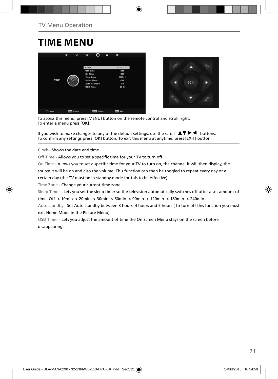## **TIME MENU**





To access this menu, press [MENU] button on the remote control and scroll right. To enter a menu press [OK]

If you wish to make changes to any of the default settings, use the scroll  $\Box \blacktriangledown \blacktriangleright \blacktriangleleft$  buttons. To confirm any settings press [OK] button. To exit this menu at anytime, press [EXIT] button.

Clock - Shows the date and time

Off Time - Allows you to set a specific time for your TV to turn off

On Time - Allows you to set a specific time for your TV to turn on, the channel it will then display, the

source it will be on and also the volume. This function can then be toggled to repeat every day or a certain day (the TV must be in standby mode for this to be effective)

Time Zone - Change your current time zone

Sleep Timer - Lets you set the sleep timer so the television automatically switches off after a set amount of

time. Off -> 10min -> 20min -> 30min -> 60min -> 90min -> 120min -> 180min -> 240min

Auto standby - Set Auto standby between 3 hours, 4 hours and 5 hours ( to turn off this function you must exit Home Mode in the Picture Menu)

OSD Timer - Lets you adjust the amount of time the On Screen Menu stays on the screen before disappearing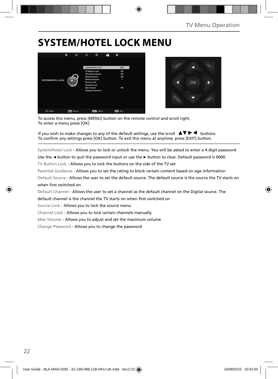## **SYSTEM/HOTEL LOCK MENU**





To access this menu, press [MENU] button on the remote control and scroll right. To enter a menu press [OK]

If you wish to make changes to any of the default settings, use the scroll  $\Delta \nabla \blacktriangleright$   $\blacktriangleleft$  buttons. To confirm any settings press [OK] button. To exit this menu at anytime, press [EXIT] button.

System/Hotel Lock - Allows you to lock or unlock the menu. You will be asked to enter a 4 digit password

Use the **◄** button to quit the password input or use the **►** button to clear. Default password is 0000.

TV Button Lock - Allows you to lock the buttons on the side of the TV set

Parental Guidance - Allows you to set the rating to block certain content based on age information

Default Source - Allows the user to set the default source. The default source is the source the TV starts on when first switched on

Default Channel - Allows the user to set a channel as the default channel on the Digital source. The

default channel is the channel the TV starts on when first switched on

Source Lock - Allows you to lock the source menu

Channel Lock - Allows you to lock certain channels manually

Max Volume - Allows you to adjust and set the maximum volume

Change Password - Allows you to change the password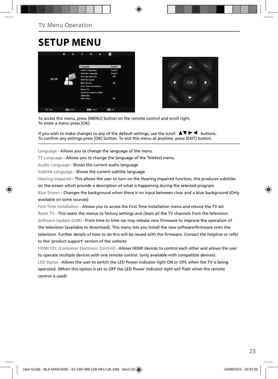## **SETUP MENU**





To access this menu, press [MENU] button on the remote control and scroll right. To enter a menu press [OK]

If you wish to make changes to any of the default settings, use the scroll  $\blacktriangle \blacktriangledown \blacktriangleright \blacktriangleleft$  buttons. To confirm any settings press [OK] button. To exit this menu at anytime, press [EXIT] button.

Language - Allows you to change the language of the menu

TT Language - Allows you to change the language of the Teletext menu

Audio Language - Shows the current audio language

Subtitle Language - Shows the current subtitle language

Hearing Impaired - This allows the user to turn on the Hearing Impaired function, this produces subtitles

on the screen which provide a description of what is happening during the selected program.

Blue Screen - Changes the background when there is no input between clear and a blue background (Only available on some sources)

First Time Installation - Allows you to access the First Time Installation menu and retune the TV set Reset TV - This resets the menus to factory settings and clears all the TV channels from the television. Software Update (USB) - From time to time we may release new firmware to improve the operation of the television (available to download). This menu lets you install the new software/firmware onto the television. Further details of how to do this will be issued with the firmware. Contact the helpline or refer to the 'product support' section of the website

HDMI CEC (Consumer Electronic Control) - Allows HDMI devices to control each other and allows the user to operate multiple devices with one remote control. (only available with compatible devices) LED Status - Allows the user to switch the LED Power indicator light ON or OFF, when the TV is being operated. (When this option is set to OFF the LED Power indicator light will flash when the remote control is used)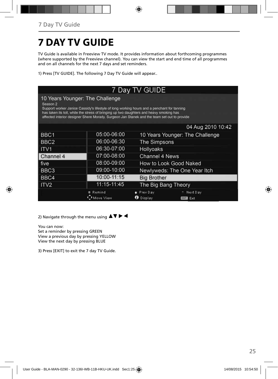# **7 DAY TV GUIDE**

TV Guide is available in Freeview TV mode. It provides information about forthcoming programmes (where supported by the Freeview channel). You can view the start and end time of all programmes and on all channels for the next 7 days and set reminders.

1) Press [TV GUIDE]. The following 7 Day TV Guide will appear..

| 7 Day TV GUIDE                                                                                                                                                                                                                                                                                                                                 |                     |                              |                                 |  |  |  |  |
|------------------------------------------------------------------------------------------------------------------------------------------------------------------------------------------------------------------------------------------------------------------------------------------------------------------------------------------------|---------------------|------------------------------|---------------------------------|--|--|--|--|
| 10 Years Younger: The Challenge<br>Season <sub>2</sub><br>Support worker Janice Cassidy's lifestyle of long working hours and a penchant for tanning<br>has taken its toll, while the stress of bringing up two daughters and heavy smoking has<br>affected interior designer Shere Morady. Surgeon Jan Stanek and the team set out to provide |                     |                              |                                 |  |  |  |  |
|                                                                                                                                                                                                                                                                                                                                                |                     |                              | 04 Aug 2010 10:42               |  |  |  |  |
| BBC1                                                                                                                                                                                                                                                                                                                                           | 05:00-06:00         |                              | 10 Years Younger: The Challenge |  |  |  |  |
| BBC <sub>2</sub>                                                                                                                                                                                                                                                                                                                               | 06:00-06:30         | <b>The Simpsons</b>          |                                 |  |  |  |  |
| <b>ITV1</b>                                                                                                                                                                                                                                                                                                                                    | 06:30-07:00         | <b>Hollyoaks</b>             |                                 |  |  |  |  |
| Channel 4                                                                                                                                                                                                                                                                                                                                      | 07:00-08:00         | Channel 4 News               |                                 |  |  |  |  |
| l five                                                                                                                                                                                                                                                                                                                                         | 08:00-09:00         | How to Look Good Naked       |                                 |  |  |  |  |
| BBC3                                                                                                                                                                                                                                                                                                                                           | 09:00-10:00         | Newlyweds: The One Year Itch |                                 |  |  |  |  |
| BBC4                                                                                                                                                                                                                                                                                                                                           | 10:00-11:15         | <b>Big Brother</b>           |                                 |  |  |  |  |
| ITV2                                                                                                                                                                                                                                                                                                                                           | 11:15-11:45         | The Big Bang Theory          |                                 |  |  |  |  |
|                                                                                                                                                                                                                                                                                                                                                | Remind<br>Move View |                              | Next Day<br>EXIT<br>Exit        |  |  |  |  |

2) Navigate through the menu using  $\blacktriangle \blacktriangledown \blacktriangleright \blacktriangleleft$ 

You can now:

Set a reminder by pressing GREEN View a previous day by pressing YELLOW View the next day by pressing BLUE

3) Press [EXIT] to exit the 7 day TV Guide.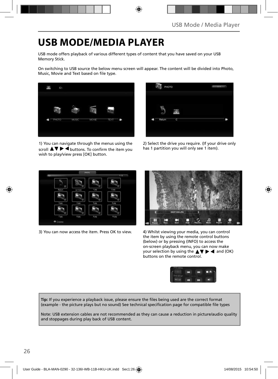## **USB MODE/MEDIA PLAYER**

USB mode offers playback of various different types of content that you have saved on your USB Memory Stick.

On switching to USB source the below menu screen will appear. The content will be divided into Photo, Music, Movie and Text based on file type.



1) You can navigate through the menus using the scroll  $\Delta \nabla \triangleright$   $\blacktriangle$  buttons. To confirm the item you wish to play/view press [OK] button.



2) Select the drive you require. (If your drive only has 1 partition you will only see 1 item).



3) You can now access the item. Press OK to view. 4) Whilst viewing your media, you can control



the item by using the remote control buttons (below) or by pressing (INFO) to access the on-screen playback menu, you can now make your selection by using the  $\triangle \blacktriangledown \blacktriangleright \blacktriangleleft$  and (OK) buttons on the remote control.



Tip: If you experience a playback issue, please ensure the files being used are the correct format (example - the picture plays but no sound) See technical specification page for compatible file types

Note: USB extension cables are not recommended as they can cause a reduction in picture/audio quality and stoppages during play back of USB content.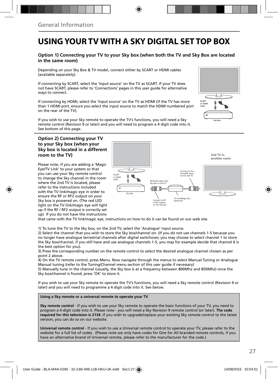## **USING YOUR TV WITH A SKY DIGITAL SET TOP BOX**

### **Option 1) Connecting your TV to your Sky box (when both the TV and Sky Box are located in the same room)**

Depending on your Sky Box & TV model, connect either by SCART or HDMI cables (available separately).

If connecting by SCART, select the 'Input source' on the TV as SCART. If your TV does not have SCART, please refer to 'Connections' pages in this user guide for alternative ways to connect.

If connecting by HDMI, select the 'Input source' on the TV as HDMI (if the TV has more than 1 HDMI port, ensure you select the input source to match the HDMI numbered port on the rear of the TV).

SCART or HDMI cable ē Sky Box

If you wish to use your Sky remote to operate the TV's functions, you will need a Sky remote control (Revision 9 or later) and you will need to program a 4 digit code into it. See bottom of this page.

#### **Option 2) Connecting your TV to your Sky box (when your Sky box is located in a different room to the TV)**

Please note, if you are adding a 'Magic Eye/TV Link' to your system so that you can use your Sky remote control to change the Sky channel in the room where the 2nd TV is located, please refer to the instructions included with the TV link/magic eye in order to ensure the RF or RF2 output on your Sky box is powered on. (The red LED light on the TV link/magic eye will light up if the RF / RF2 output is correctly set up) If you do not have the instructions



that came with the TV link/magic eye, instructions on how to do it can be found on our web site.

1) To tune the TV to the Sky box, on the 2nd TV, select the 'Analogue' input source.

2) Select the channel that you wish to store the Sky box/channel on. (If you do not use channels 1-5 because you no longer have analogue terrestrial channels after digital switchover, you may choose to select channel 1 to store the Sky box/channel, if you still have and use analogue channels 1-5, you may for example decide that channel 6 is the best option for you).

3) Press the corresponding number on the remote control to select the desired analogue channel chosen as per point 2 above.

4) On the TV remote control, press Menu. Now navigate through the menus to select Manual Tuning or Analogue Manual tuning (refer to the Tuning/Channel menu section of this user guide if necessary)

5) Manually tune in the channel (usually, the Sky box is at a frequency between 800Mhz and 850Mhz) once the Sky box/channel is found, press 'OK' to store it.

If you wish to use your Sky remote to operate the TV's functions, you will need a Sky remote control (Revision 9 or later) and you will need to programme a 4 digit code into it. See below.

**Using a Sky remote or a universal remote to operate your TV** 

**Sky remote control** - If you wish to use your Sky remote to operate the basic functions of your TV, you need to program a 4 digit code into it. Please note - you will need a Sky Revision 9 remote control (or later). **The code required for this television is 2134.** If you wish to upgrade/replace your existing Sky remote control to the latest version, you can do so on our website.

**Universal remote control** - If you wish to use a Universal remote control to operate your TV, please refer to the website for a full list of codes. (Please note we only have codes for One for All branded remote controls, if you have an alternative brand of Universal remote, please refer to the manufacturer for the code.)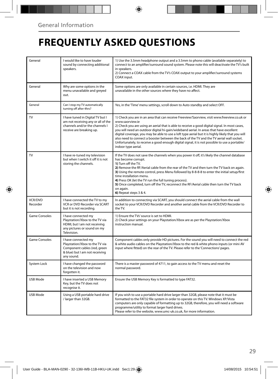## **FREQUENTLY ASKED QUESTIONS**

| General              | I would like to have louder<br>sound by connecting additional<br>speakers.                                                            | 1) Use the 3.5mm headphone output and a 3.5mm to phono cable (available separately) to<br>connect to an amplifier/surround sound system. Please note this will deactivate the TV's built<br>in speakers.<br>2) Connect a COAX cable from the TV's COAX output to your amplifier/surround systems<br>COAX input.                                                                                                                                                                                                                                                                                                                     |  |
|----------------------|---------------------------------------------------------------------------------------------------------------------------------------|-------------------------------------------------------------------------------------------------------------------------------------------------------------------------------------------------------------------------------------------------------------------------------------------------------------------------------------------------------------------------------------------------------------------------------------------------------------------------------------------------------------------------------------------------------------------------------------------------------------------------------------|--|
| General              | Why are some options in the<br>menu unavailable and greyed<br>out.                                                                    | Some options are only available in certain sources, i.e. HDMI. They are<br>unavailable in the other sources where they have no affect.                                                                                                                                                                                                                                                                                                                                                                                                                                                                                              |  |
| General              | Can I stop my TV automatically<br>turning off after 4hrs?                                                                             | Yes, in the 'Time' menu settings, scroll down to Auto standby and select OFF.                                                                                                                                                                                                                                                                                                                                                                                                                                                                                                                                                       |  |
| TV                   | I have tuned in Digital TV but I<br>am not receiving any or all of the<br>channels and/or the channels I<br>receive are breaking up.  | 1) Check you are in an area that can receive Freeview/Saorview, visit www.freeview.co.uk or<br>www.saorview.ie<br>2) Check you are using an aerial that is able to receive a good digital signal. In most cases,<br>you will need an outdoor digital hi-gain/wideband aerial. In areas that have excellent<br>digital coverage, you may be able to use a loft type aerial but it is highly likely that you will<br>also need to connect a booster between the back of the TV and the TV aerial wall socket.<br>Unfortunately, to receive a good enough digital signal, it is not possible to use a portable/<br>indoor type aerial. |  |
| TV                   | I have re-tuned my television<br>but when I switch it off it is not<br>storing the channels.                                          | If the TV does not save the channels when you power it off, it's likely the channel database<br>has become corrupt.<br>1) Turn off the TV.<br>2) Remove the RF/Aerial cable from the rear of the TV and then turn the TV back on again.<br>3) Using the remote control, press Menu followed by 8-8-8-8 to enter the initial setup/first<br>time installation menu.<br>4) Press OK (let the TV run the full tuning process).<br>5) Once completed, turn off the TV, reconnect the RF/Aerial cable then turn the TV back<br>on again.<br>6) Repeat steps 3 & 4.                                                                       |  |
| VCR/DVD<br>Recorder  | I have connected the TV to my<br>VCR or DVD Recorder via SCART<br>but it is not recording.                                            | In addition to connecting via SCART, you should connect the aerial cable from the wall<br>socket to your VCR/DVD Recorder and another aerial cable from the VCR/DVD Recorder to<br>the TV.                                                                                                                                                                                                                                                                                                                                                                                                                                          |  |
| <b>Game Consoles</b> | I have connected my<br>Playstation/Xbox to the TV via<br>HDMI, but I am not receiving<br>any pictures or sound on my<br>Television.   | 1) Ensure the TVs' source is set to HDMI.<br>2) Check your settings on your Playstation/Xbox are as per the Playstation/Xbox<br>instruction manual.                                                                                                                                                                                                                                                                                                                                                                                                                                                                                 |  |
| Game Consoles        | I have connected my<br>Playstation/Xbox to the TV via<br>Component cables (red, green<br>& blue) but I am not receiving<br>any sound. | Component cables only provide HD pictures. For the sound you will need to connect the red<br>& white audio cables on the Playstation/Xbox to the red & white phono inputs (or mini AV<br>input where fitted) on the rear of the TV. Please refer to the 'Connections' pages.                                                                                                                                                                                                                                                                                                                                                        |  |
| System Lock          | I have changed the password<br>on the television and now<br>forgotten it.                                                             | There is a master password of 4711, to gain access to the TV menu and reset the<br>normal password.                                                                                                                                                                                                                                                                                                                                                                                                                                                                                                                                 |  |
| USB Mode             | I have inserted a USB Memory<br>Key, but the TV does not<br>recognise it.                                                             | Ensure the USB Memory Key is formatted to type FAT32.                                                                                                                                                                                                                                                                                                                                                                                                                                                                                                                                                                               |  |
| USB Mode             | Using a USB portable hard drive<br>/ larger than 32GB.                                                                                | If you wish to use a portable hard drive larger than 32GB, please note that it must be<br>formatted to the FAT32 file system in order to operate on this TV. Windows XP/Vista<br>computers are only capable of formatting up to 32GB, therefore, you will need a software<br>programme/utility to format larger hard drives.<br>Please refer to the website, www.umc-uk.co.uk, for more information.                                                                                                                                                                                                                                |  |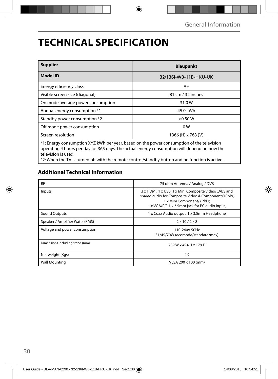## **TECHNICAL SPECIFICATION**

| <b>Supplier</b>                                                                                                                                                                                                                                                                                                     | <b>Blaupunkt</b>      |  |  |  |
|---------------------------------------------------------------------------------------------------------------------------------------------------------------------------------------------------------------------------------------------------------------------------------------------------------------------|-----------------------|--|--|--|
| <b>Model ID</b>                                                                                                                                                                                                                                                                                                     | 32/136I-WB-11B-HKU-UK |  |  |  |
| Energy efficiency class                                                                                                                                                                                                                                                                                             | $A+$                  |  |  |  |
| Visible screen size (diagonal)                                                                                                                                                                                                                                                                                      | 81 cm / 32 inches     |  |  |  |
| On mode average power consumption                                                                                                                                                                                                                                                                                   | 31.0W                 |  |  |  |
| Annual energy consumption *1                                                                                                                                                                                                                                                                                        | 45.0 kWh              |  |  |  |
| Standby power consumption *2                                                                                                                                                                                                                                                                                        | $<$ 0.50 W            |  |  |  |
| Off mode power consumption                                                                                                                                                                                                                                                                                          | 0W                    |  |  |  |
| Screen resolution                                                                                                                                                                                                                                                                                                   | 1366 (H) x 768 (V)    |  |  |  |
| *1: Energy consumption XYZ kWh per year, based on the power consumption of the television<br>operating 4 hours per day for 365 days. The actual energy consumption will depend on how the<br>television is used.<br>*2: When the TV is turned off with the remote control/standby button and no function is active. |                       |  |  |  |

### **Additional Technical Information**

| <b>RF</b>                       | 75 ohm Antenna / Analog / DVB                                                                                                                                                              |  |  |
|---------------------------------|--------------------------------------------------------------------------------------------------------------------------------------------------------------------------------------------|--|--|
| Inputs                          | 3 x HDMI, 1 x USB, 1 x Mini Composite Video/CVBS and<br>shared audio for Composite Video & Component/YPbPr,<br>1 x Mini Component/YPbPr,<br>1 x VGA/PC, 1 x 3.5mm jack for PC audio input, |  |  |
| Sound Outputs                   | 1 x Coax Audio output, 1 x 3.5mm Headphone                                                                                                                                                 |  |  |
| Speaker / Amplifier Watts (RMS) | $2 \times 10 / 2 \times 8$                                                                                                                                                                 |  |  |
| Voltage and power consumption   | 110-240V 50Hz<br>31/45/70W (ecomode/standard/max)                                                                                                                                          |  |  |
| Dimensions including stand (mm) | 739 W x 494 H x 179 D                                                                                                                                                                      |  |  |
| Net weight (Kgs)                | 4.9                                                                                                                                                                                        |  |  |
| <b>Wall Mounting</b>            | VESA 200 x 100 (mm)                                                                                                                                                                        |  |  |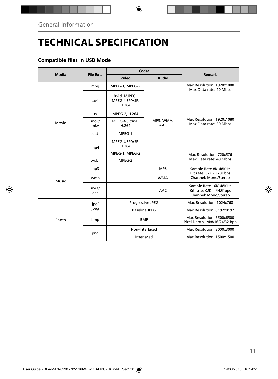## **TECHNICAL SPECIFICATION**

### **Compatible files in USB Mode**

| Media | File Ext.      | Codec                                   |                         | <b>Remark</b>                                                                 |
|-------|----------------|-----------------------------------------|-------------------------|-------------------------------------------------------------------------------|
|       |                | Video                                   | Audio                   |                                                                               |
|       | .mpg           | MPEG-1, MPEG-2                          | MP3, WMA,<br><b>AAC</b> | Max Resolution: 1920x1080<br>Max Data rate: 40 Mbps                           |
|       | .avi           | Xvid, MJPEG,<br>MPEG-4 SP/ASP.<br>H.264 |                         | Max Resolution: 1920x1080<br>Max Data rate: 20 Mbps                           |
|       | .ts            | MPEG-2, H.264                           |                         |                                                                               |
| Movie | .mov/<br>.mkv  | MPEG-4 SP/ASP,<br>H.264                 |                         |                                                                               |
|       | .dat           | MPEG-1                                  |                         |                                                                               |
|       | mp4            | MPEG-4 SP/ASP,<br>H.264                 |                         |                                                                               |
|       |                | MPEG-1, MPEG-2                          |                         | Max Resolution: 720x576<br>Max Data rate: 40 Mbps                             |
|       | .vob           | MPEG-2                                  |                         |                                                                               |
| Music | mp3.           |                                         | MP3                     | Sample Rate 8K-48KHz<br>Bit rate: 32K - 320Kbps                               |
|       | .wma           |                                         | <b>WMA</b>              | Channel: Mono/Stereo                                                          |
|       | .m4a/<br>.aac  |                                         | AAC                     | Sample Rate 16K-48KHz<br>Bit rate: $32K \sim 442Kbps$<br>Channel: Mono/Stereo |
|       | .jpg/<br>.jpeg | Progressive JPEG                        |                         | Max Resolution: 1024x768                                                      |
|       |                | <b>Baseline JPEG</b>                    |                         | Max Resolution: 8192x8192                                                     |
| Photo | .bmp           | <b>BMP</b>                              |                         | Max Resolution: 6500x6500<br>Pixel Depth 1/4/8/16/24/32 bpp                   |
|       | .png           | Non-Interlaced                          |                         | Max Resolution: 3000x3000                                                     |
|       |                | Interlaced                              |                         | Max Resolution: 1500x1500                                                     |